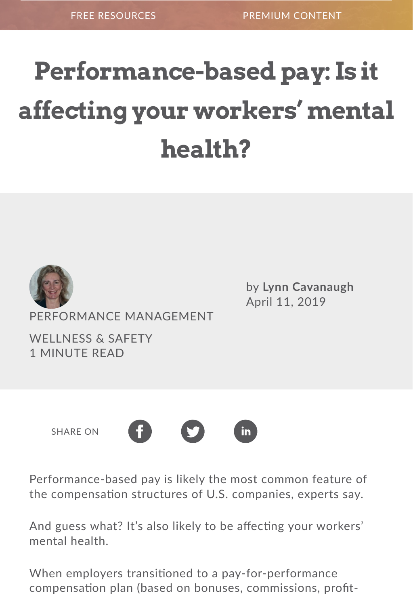## **Performance-based pay: Is it affecting your workers' mental health?**



PERFORMANCE MANAGEMENT

WELLNESS & SAFFTY [1 MINUTE READ](https://www.hrmorning.com/pbp-categories/wellness-safety)

by **Lynn Cavanaugh** Ap[ril 11, 2019](https://www.hrmorning.com/author/lcavanaugh/)

SHARE ON



Performance-based pay is likely the most common feature of the compensation structures of U.S. companies, experts say.

And guess what? It's also likely to be affecting your workers' mental health.

When employers transitioned to a pay-for-performance compensation plan (based on bonuses, commissions, profit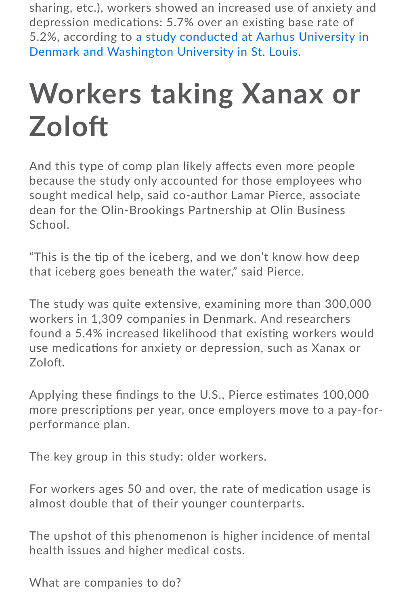depression medicaNons: 5.7% over an exisNng base rate of 5.2%, according to a study conducted at Aarhus University in Denmark and Washington University in St. Louis.

## **[Workers taking Xanax or](https://source.wustl.edu/2019/03/performance-based-pay-linked-to-employee-mental-health-problems-study-shows/) Zolo7**

And this type of comp plan likely affects even more people because the study only accounted for those employees who sought medical help, said co-author Lamar Pierce, associate dean for the Olin-Brookings Partnership at Olin Business School.

"This is the tip of the iceberg, and we don't know how deep that iceberg goes beneath the water," said Pierce.

The study was quite extensive, examining more than 300,000 workers in 1,309 companies in Denmark. And researchers found a 5.4% increased likelihood that existing workers would use medications for anxiety or depression, such as Xanax or Zoloft.

Applying these findings to the U.S., Pierce estimates 100,000 more prescriptions per year, once employers move to a pay-forperformance plan.

The key group in this study: older workers.

For workers ages 50 and over, the rate of medication usage is almost double that of their younger counterparts.

The upshot of this phenomenon is higher incidence of mental health issues and higher medical costs.

What are companies to do?